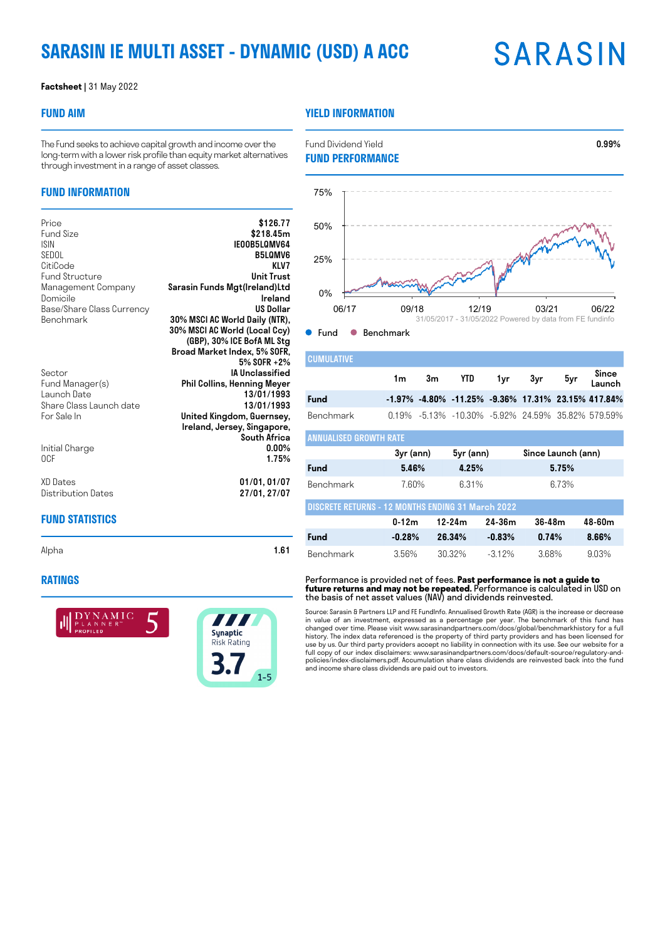# **SARASIN IE MULTI ASSET - DYNAMIC (USD) A ACC**

# **SARASIN**

#### **Factsheet |** 31 May 2022

## **FUND AIM**

## **YIELD INFORMATION**

**FUND PERFORMANCE**

The Fund seeks to achieve capital growth and income over the long-term with a lower risk profile than equity market alternatives through investment in a range of asset classes.

# **FUND INFORMATION**

| Price<br><b>Fund Size</b><br><b>ISIN</b><br>SEDOL<br>CitiCode<br><b>Fund Structure</b><br>Management Company<br>Domicile<br>Base/Share Class Currency<br><b>Benchmark</b> | \$126.77<br>\$218.45m<br>IE00B5L0MV64<br><b>B5LOMV6</b><br>KLV7<br><b>Unit Trust</b><br>Sarasin Funds Mgt(Ireland)Ltd<br>Ireland<br><b>US Dollar</b><br>30% MSCI AC World Daily (NTR),<br>30% MSCI AC World (Local Ccy)<br>(GBP), 30% ICE BofA ML Stg<br>Broad Market Index, 5% SOFR, |
|---------------------------------------------------------------------------------------------------------------------------------------------------------------------------|---------------------------------------------------------------------------------------------------------------------------------------------------------------------------------------------------------------------------------------------------------------------------------------|
| Sector<br>Fund Manager(s)<br>Launch Date<br>Share Class Launch date<br>For Sale In                                                                                        | 5% SOFR +2%<br><b>IA Unclassified</b><br><b>Phil Collins, Henning Meyer</b><br>13/01/1993<br>13/01/1993<br>United Kingdom, Guernsey,<br>Ireland, Jersey, Singapore,                                                                                                                   |
| Initial Charge<br>0CF                                                                                                                                                     | South Africa<br>$0.00\%$<br>1.75%                                                                                                                                                                                                                                                     |
| XD Dates<br>Distribution Dates                                                                                                                                            | 01/01, 01/07<br>27/01, 27/07                                                                                                                                                                                                                                                          |

# 06/17 09/18 12/19 03/21 06/22  $0\%$ 25% 50% 75% 31/05/2017 - 31/05/2022 Powered by data from FE fundinfo

Fund Dividend Yield **0.99%** 

Fund **Benchmark** 

 $\bullet$ 

| <b>CUMULATIVE</b>      |             |    |                                                                |       |                    |       |                 |
|------------------------|-------------|----|----------------------------------------------------------------|-------|--------------------|-------|-----------------|
|                        | 1m          | 3m | YTD.                                                           | 1yr - | 3yr                | 5yr   | Since<br>Launch |
| Fund                   |             |    | $-1.97\%$ $-4.80\%$ $-11.25\%$ $-9.36\%$ 17.31% 23.15% 417.84% |       |                    |       |                 |
| Benchmark              |             |    | 0.19% -5.13% -10.30% -5.92% 24.59% 35.82% 579.59%              |       |                    |       |                 |
| ANNUALISED GROWTH RATE |             |    |                                                                |       |                    |       |                 |
|                        | $3yr$ (ann) |    | 5yr (ann)                                                      |       | Since Launch (ann) |       |                 |
| Fund                   | 5.46%       |    | 4.25%                                                          |       |                    | 5.75% |                 |

| Benchmark                                                | 760%      | 631%   |           | 6.73%  |        |  |
|----------------------------------------------------------|-----------|--------|-----------|--------|--------|--|
| <b>DISCRETE RETURNS - 12 MONTHS ENDING 31 March 2022</b> |           |        |           |        |        |  |
|                                                          | $0 - 12m$ | 12-24m | 24-36m    | 36-48m | 48-60m |  |
| Fund                                                     | $-0.28%$  | 26.34% | $-0.83\%$ | 0.74%  | 8.66%  |  |
| Benchmark                                                | 356%      | 30.32% | $-312\%$  | 368%   | 903%   |  |

Performance is provided net of fees. **Past performance is not a guide to future returns and may not be repeated.** Performance is calculated in USD on the basis of net asset values (NAV) and dividends reinvested.

Source: Sarasin & Partners LLP and FE FundInfo. Annualised Growth Rate (AGR) is the increase or decrease in value of an investment, expressed as a percentage per year. The benchmark of this fund has changed over time. Please visit www.sarasinandpartners.com/docs/global/benchmarkhistory for a full history. The index data referenced is the property of third party providers and has been licensed for use by us. Our third party providers accept no liability in connection with its use. See our website for a full copy of our index disclaimers: www.sarasinandpartners.com/docs/default-source/regulatory-andpolicies/index-disclaimers.pdf. Accumulation share class dividends are reinvested back into the fund and income share class dividends are paid out to investors.

# **FUND STATISTICS**

Alpha **1.61** 

#### **RATINGS**